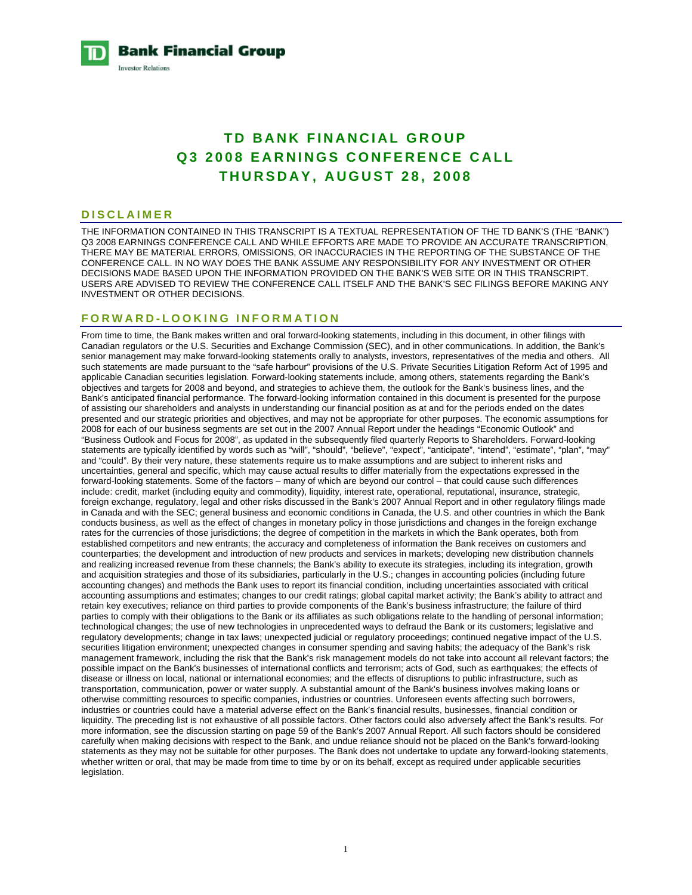**Bank Financial Group Investor Relations** 

# **TD BANK FINANCIAL GROUP Q3 2008 EARNINGS CONFERENCE CALL THURSDAY, AUGUST 28, 2008**

#### **DISCLAIMER**

THE INFORMATION CONTAINED IN THIS TRANSCRIPT IS A TEXTUAL REPRESENTATION OF THE TD BANK'S (THE "BANK") Q3 2008 EARNINGS CONFERENCE CALL AND WHILE EFFORTS ARE MADE TO PROVIDE AN ACCURATE TRANSCRIPTION, THERE MAY BE MATERIAL ERRORS, OMISSIONS, OR INACCURACIES IN THE REPORTING OF THE SUBSTANCE OF THE CONFERENCE CALL. IN NO WAY DOES THE BANK ASSUME ANY RESPONSIBILITY FOR ANY INVESTMENT OR OTHER DECISIONS MADE BASED UPON THE INFORMATION PROVIDED ON THE BANK'S WEB SITE OR IN THIS TRANSCRIPT. USERS ARE ADVISED TO REVIEW THE CONFERENCE CALL ITSELF AND THE BANK'S SEC FILINGS BEFORE MAKING ANY INVESTMENT OR OTHER DECISIONS.

# **FORWARD-LOOKING INFORMATION**

From time to time, the Bank makes written and oral forward-looking statements, including in this document, in other filings with Canadian regulators or the U.S. Securities and Exchange Commission (SEC), and in other communications. In addition, the Bank's senior management may make forward-looking statements orally to analysts, investors, representatives of the media and others. All such statements are made pursuant to the "safe harbour" provisions of the U.S. Private Securities Litigation Reform Act of 1995 and applicable Canadian securities legislation. Forward-looking statements include, among others, statements regarding the Bank's objectives and targets for 2008 and beyond, and strategies to achieve them, the outlook for the Bank's business lines, and the Bank's anticipated financial performance. The forward-looking information contained in this document is presented for the purpose of assisting our shareholders and analysts in understanding our financial position as at and for the periods ended on the dates presented and our strategic priorities and objectives, and may not be appropriate for other purposes. The economic assumptions for 2008 for each of our business segments are set out in the 2007 Annual Report under the headings "Economic Outlook" and "Business Outlook and Focus for 2008", as updated in the subsequently filed quarterly Reports to Shareholders. Forward-looking statements are typically identified by words such as "will", "should", "believe", "expect", "anticipate", "intend", "estimate", "plan", "may" and "could". By their very nature, these statements require us to make assumptions and are subject to inherent risks and uncertainties, general and specific, which may cause actual results to differ materially from the expectations expressed in the forward-looking statements. Some of the factors – many of which are beyond our control – that could cause such differences include: credit, market (including equity and commodity), liquidity, interest rate, operational, reputational, insurance, strategic, foreign exchange, regulatory, legal and other risks discussed in the Bank's 2007 Annual Report and in other regulatory filings made in Canada and with the SEC; general business and economic conditions in Canada, the U.S. and other countries in which the Bank conducts business, as well as the effect of changes in monetary policy in those jurisdictions and changes in the foreign exchange rates for the currencies of those jurisdictions; the degree of competition in the markets in which the Bank operates, both from established competitors and new entrants; the accuracy and completeness of information the Bank receives on customers and counterparties; the development and introduction of new products and services in markets; developing new distribution channels and realizing increased revenue from these channels; the Bank's ability to execute its strategies, including its integration, growth and acquisition strategies and those of its subsidiaries, particularly in the U.S.; changes in accounting policies (including future accounting changes) and methods the Bank uses to report its financial condition, including uncertainties associated with critical accounting assumptions and estimates; changes to our credit ratings; global capital market activity; the Bank's ability to attract and retain key executives; reliance on third parties to provide components of the Bank's business infrastructure; the failure of third parties to comply with their obligations to the Bank or its affiliates as such obligations relate to the handling of personal information; technological changes; the use of new technologies in unprecedented ways to defraud the Bank or its customers; legislative and regulatory developments; change in tax laws; unexpected judicial or regulatory proceedings; continued negative impact of the U.S. securities litigation environment; unexpected changes in consumer spending and saving habits; the adequacy of the Bank's risk management framework, including the risk that the Bank's risk management models do not take into account all relevant factors; the possible impact on the Bank's businesses of international conflicts and terrorism; acts of God, such as earthquakes; the effects of disease or illness on local, national or international economies; and the effects of disruptions to public infrastructure, such as transportation, communication, power or water supply. A substantial amount of the Bank's business involves making loans or otherwise committing resources to specific companies, industries or countries. Unforeseen events affecting such borrowers, industries or countries could have a material adverse effect on the Bank's financial results, businesses, financial condition or liquidity. The preceding list is not exhaustive of all possible factors. Other factors could also adversely affect the Bank's results. For more information, see the discussion starting on page 59 of the Bank's 2007 Annual Report. All such factors should be considered carefully when making decisions with respect to the Bank, and undue reliance should not be placed on the Bank's forward-looking statements as they may not be suitable for other purposes. The Bank does not undertake to update any forward-looking statements, whether written or oral, that may be made from time to time by or on its behalf, except as required under applicable securities legislation.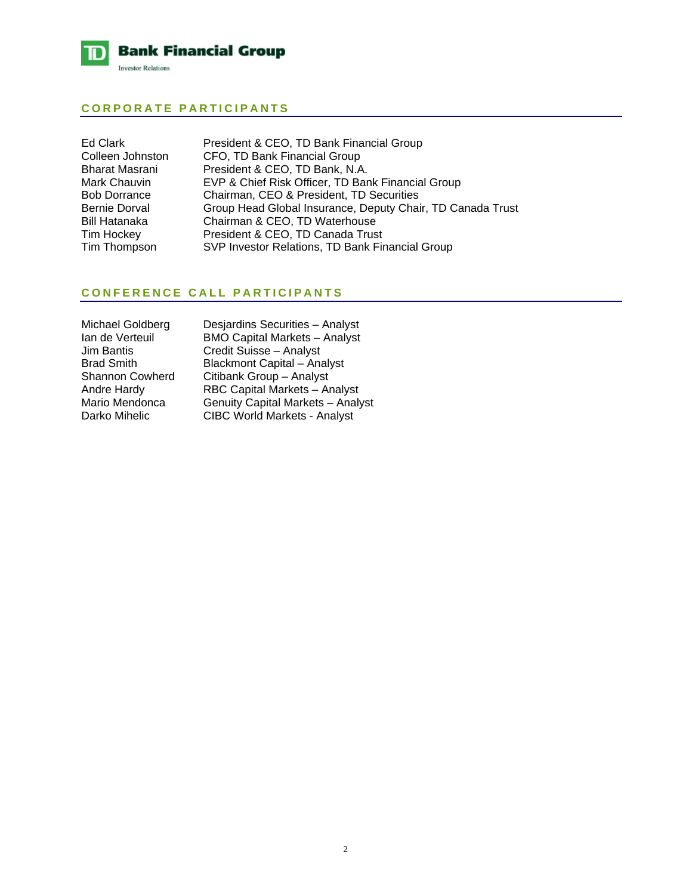

# **CORPORATE PARTICIPANTS**

| Ed Clark            | President & CEO, TD Bank Financial Group                   |
|---------------------|------------------------------------------------------------|
| Colleen Johnston    | CFO, TD Bank Financial Group                               |
| Bharat Masrani      | President & CEO, TD Bank, N.A.                             |
| Mark Chauvin        | EVP & Chief Risk Officer, TD Bank Financial Group          |
| <b>Bob Dorrance</b> | Chairman, CEO & President, TD Securities                   |
| Bernie Dorval       | Group Head Global Insurance, Deputy Chair, TD Canada Trust |
| Bill Hatanaka       | Chairman & CEO, TD Waterhouse                              |
| Tim Hockey          | President & CEO, TD Canada Trust                           |
| Tim Thompson        | SVP Investor Relations, TD Bank Financial Group            |

# **CONFERENCE CALL PARTICIPANTS**

| Michael Goldberg       | Desi        |
|------------------------|-------------|
| Ian de Verteuil        | <b>BMC</b>  |
| <b>Jim Bantis</b>      | Cred        |
| <b>Brad Smith</b>      | Blacl       |
| <b>Shannon Cowherd</b> | Citib       |
| <b>Andre Hardy</b>     | RBC         |
| Mario Mendonca         | Gent        |
| Darko Mihelic          | <b>CIBC</b> |
|                        |             |

ardins Securities – Analyst **D Capital Markets – Analyst** Jit Suisse – Analyst kmont Capital – Analyst ank Group – Analyst **Capital Markets – Analyst** uity Capital Markets – Analyst C World Markets - Analyst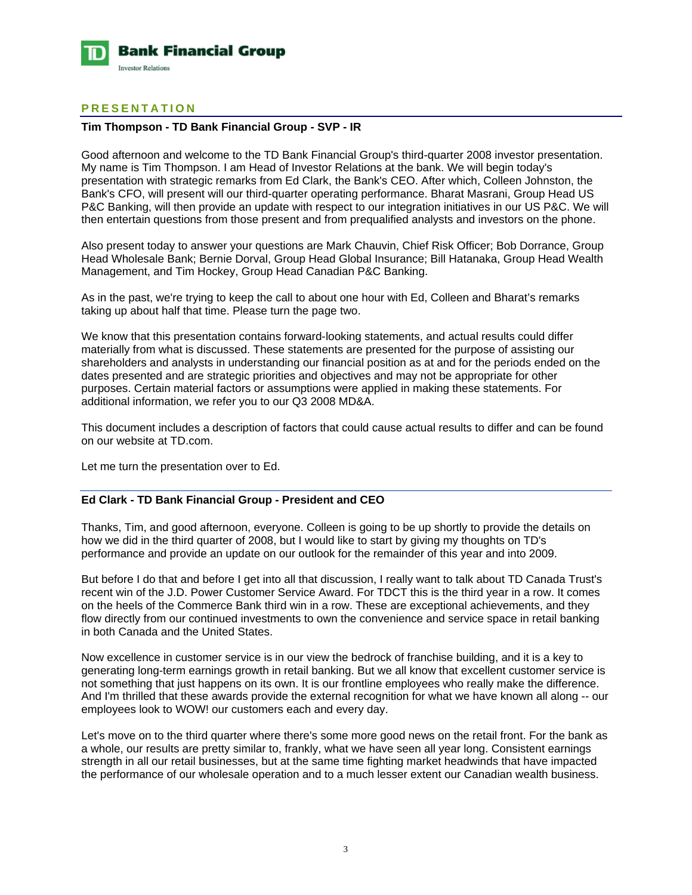

# **PRESENTATION**

# **Tim Thompson - TD Bank Financial Group - SVP - IR**

Good afternoon and welcome to the TD Bank Financial Group's third-quarter 2008 investor presentation. My name is Tim Thompson. I am Head of Investor Relations at the bank. We will begin today's presentation with strategic remarks from Ed Clark, the Bank's CEO. After which, Colleen Johnston, the Bank's CFO, will present will our third-quarter operating performance. Bharat Masrani, Group Head US P&C Banking, will then provide an update with respect to our integration initiatives in our US P&C. We will then entertain questions from those present and from prequalified analysts and investors on the phone.

Also present today to answer your questions are Mark Chauvin, Chief Risk Officer; Bob Dorrance, Group Head Wholesale Bank; Bernie Dorval, Group Head Global Insurance; Bill Hatanaka, Group Head Wealth Management, and Tim Hockey, Group Head Canadian P&C Banking.

As in the past, we're trying to keep the call to about one hour with Ed, Colleen and Bharat's remarks taking up about half that time. Please turn the page two.

We know that this presentation contains forward-looking statements, and actual results could differ materially from what is discussed. These statements are presented for the purpose of assisting our shareholders and analysts in understanding our financial position as at and for the periods ended on the dates presented and are strategic priorities and objectives and may not be appropriate for other purposes. Certain material factors or assumptions were applied in making these statements. For additional information, we refer you to our Q3 2008 MD&A.

This document includes a description of factors that could cause actual results to differ and can be found on our website at TD.com.

Let me turn the presentation over to Ed.

# **Ed Clark - TD Bank Financial Group - President and CEO**

Thanks, Tim, and good afternoon, everyone. Colleen is going to be up shortly to provide the details on how we did in the third quarter of 2008, but I would like to start by giving my thoughts on TD's performance and provide an update on our outlook for the remainder of this year and into 2009.

But before I do that and before I get into all that discussion, I really want to talk about TD Canada Trust's recent win of the J.D. Power Customer Service Award. For TDCT this is the third year in a row. It comes on the heels of the Commerce Bank third win in a row. These are exceptional achievements, and they flow directly from our continued investments to own the convenience and service space in retail banking in both Canada and the United States.

Now excellence in customer service is in our view the bedrock of franchise building, and it is a key to generating long-term earnings growth in retail banking. But we all know that excellent customer service is not something that just happens on its own. It is our frontline employees who really make the difference. And I'm thrilled that these awards provide the external recognition for what we have known all along -- our employees look to WOW! our customers each and every day.

Let's move on to the third quarter where there's some more good news on the retail front. For the bank as a whole, our results are pretty similar to, frankly, what we have seen all year long. Consistent earnings strength in all our retail businesses, but at the same time fighting market headwinds that have impacted the performance of our wholesale operation and to a much lesser extent our Canadian wealth business.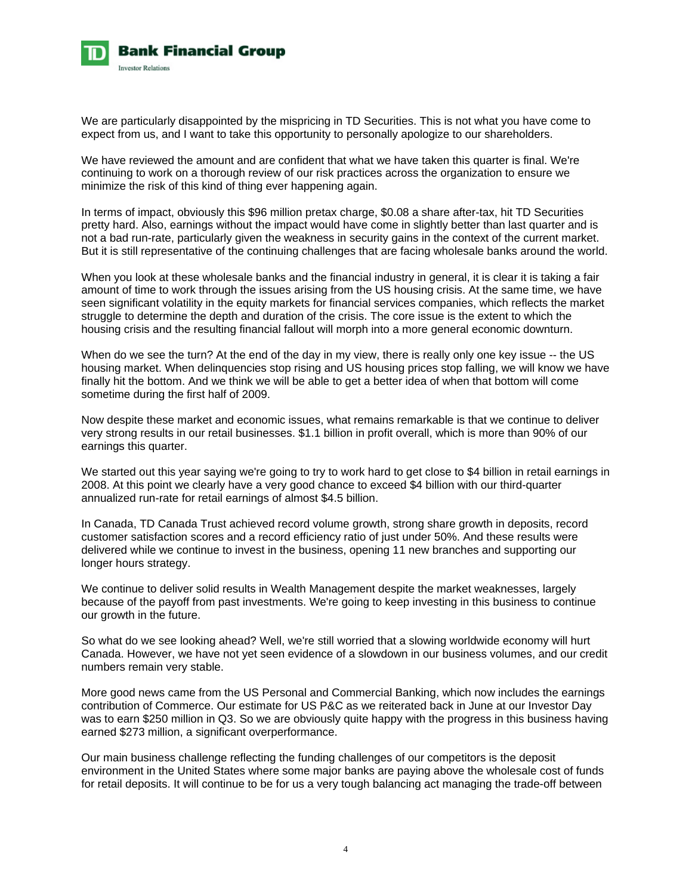

We are particularly disappointed by the mispricing in TD Securities. This is not what you have come to expect from us, and I want to take this opportunity to personally apologize to our shareholders.

We have reviewed the amount and are confident that what we have taken this quarter is final. We're continuing to work on a thorough review of our risk practices across the organization to ensure we minimize the risk of this kind of thing ever happening again.

In terms of impact, obviously this \$96 million pretax charge, \$0.08 a share after-tax, hit TD Securities pretty hard. Also, earnings without the impact would have come in slightly better than last quarter and is not a bad run-rate, particularly given the weakness in security gains in the context of the current market. But it is still representative of the continuing challenges that are facing wholesale banks around the world.

When you look at these wholesale banks and the financial industry in general, it is clear it is taking a fair amount of time to work through the issues arising from the US housing crisis. At the same time, we have seen significant volatility in the equity markets for financial services companies, which reflects the market struggle to determine the depth and duration of the crisis. The core issue is the extent to which the housing crisis and the resulting financial fallout will morph into a more general economic downturn.

When do we see the turn? At the end of the day in my view, there is really only one key issue -- the US housing market. When delinquencies stop rising and US housing prices stop falling, we will know we have finally hit the bottom. And we think we will be able to get a better idea of when that bottom will come sometime during the first half of 2009.

Now despite these market and economic issues, what remains remarkable is that we continue to deliver very strong results in our retail businesses. \$1.1 billion in profit overall, which is more than 90% of our earnings this quarter.

We started out this year saying we're going to try to work hard to get close to \$4 billion in retail earnings in 2008. At this point we clearly have a very good chance to exceed \$4 billion with our third-quarter annualized run-rate for retail earnings of almost \$4.5 billion.

In Canada, TD Canada Trust achieved record volume growth, strong share growth in deposits, record customer satisfaction scores and a record efficiency ratio of just under 50%. And these results were delivered while we continue to invest in the business, opening 11 new branches and supporting our longer hours strategy.

We continue to deliver solid results in Wealth Management despite the market weaknesses, largely because of the payoff from past investments. We're going to keep investing in this business to continue our growth in the future.

So what do we see looking ahead? Well, we're still worried that a slowing worldwide economy will hurt Canada. However, we have not yet seen evidence of a slowdown in our business volumes, and our credit numbers remain very stable.

More good news came from the US Personal and Commercial Banking, which now includes the earnings contribution of Commerce. Our estimate for US P&C as we reiterated back in June at our Investor Day was to earn \$250 million in Q3. So we are obviously quite happy with the progress in this business having earned \$273 million, a significant overperformance.

Our main business challenge reflecting the funding challenges of our competitors is the deposit environment in the United States where some major banks are paying above the wholesale cost of funds for retail deposits. It will continue to be for us a very tough balancing act managing the trade-off between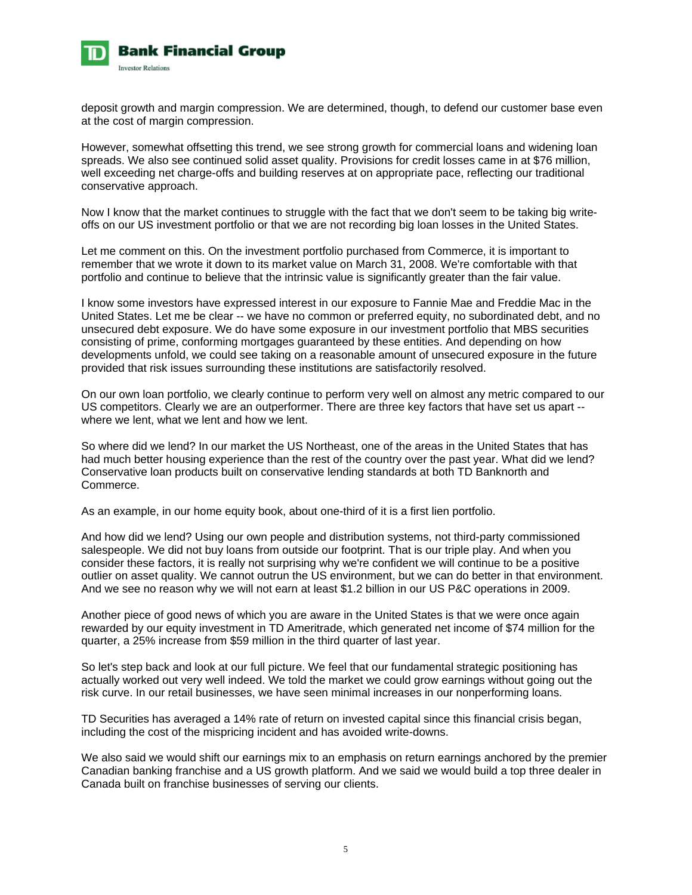

deposit growth and margin compression. We are determined, though, to defend our customer base even at the cost of margin compression.

However, somewhat offsetting this trend, we see strong growth for commercial loans and widening loan spreads. We also see continued solid asset quality. Provisions for credit losses came in at \$76 million, well exceeding net charge-offs and building reserves at on appropriate pace, reflecting our traditional conservative approach.

Now I know that the market continues to struggle with the fact that we don't seem to be taking big writeoffs on our US investment portfolio or that we are not recording big loan losses in the United States.

Let me comment on this. On the investment portfolio purchased from Commerce, it is important to remember that we wrote it down to its market value on March 31, 2008. We're comfortable with that portfolio and continue to believe that the intrinsic value is significantly greater than the fair value.

I know some investors have expressed interest in our exposure to Fannie Mae and Freddie Mac in the United States. Let me be clear -- we have no common or preferred equity, no subordinated debt, and no unsecured debt exposure. We do have some exposure in our investment portfolio that MBS securities consisting of prime, conforming mortgages guaranteed by these entities. And depending on how developments unfold, we could see taking on a reasonable amount of unsecured exposure in the future provided that risk issues surrounding these institutions are satisfactorily resolved.

On our own loan portfolio, we clearly continue to perform very well on almost any metric compared to our US competitors. Clearly we are an outperformer. There are three key factors that have set us apart - where we lent, what we lent and how we lent.

So where did we lend? In our market the US Northeast, one of the areas in the United States that has had much better housing experience than the rest of the country over the past year. What did we lend? Conservative loan products built on conservative lending standards at both TD Banknorth and Commerce.

As an example, in our home equity book, about one-third of it is a first lien portfolio.

And how did we lend? Using our own people and distribution systems, not third-party commissioned salespeople. We did not buy loans from outside our footprint. That is our triple play. And when you consider these factors, it is really not surprising why we're confident we will continue to be a positive outlier on asset quality. We cannot outrun the US environment, but we can do better in that environment. And we see no reason why we will not earn at least \$1.2 billion in our US P&C operations in 2009.

Another piece of good news of which you are aware in the United States is that we were once again rewarded by our equity investment in TD Ameritrade, which generated net income of \$74 million for the quarter, a 25% increase from \$59 million in the third quarter of last year.

So let's step back and look at our full picture. We feel that our fundamental strategic positioning has actually worked out very well indeed. We told the market we could grow earnings without going out the risk curve. In our retail businesses, we have seen minimal increases in our nonperforming loans.

TD Securities has averaged a 14% rate of return on invested capital since this financial crisis began, including the cost of the mispricing incident and has avoided write-downs.

We also said we would shift our earnings mix to an emphasis on return earnings anchored by the premier Canadian banking franchise and a US growth platform. And we said we would build a top three dealer in Canada built on franchise businesses of serving our clients.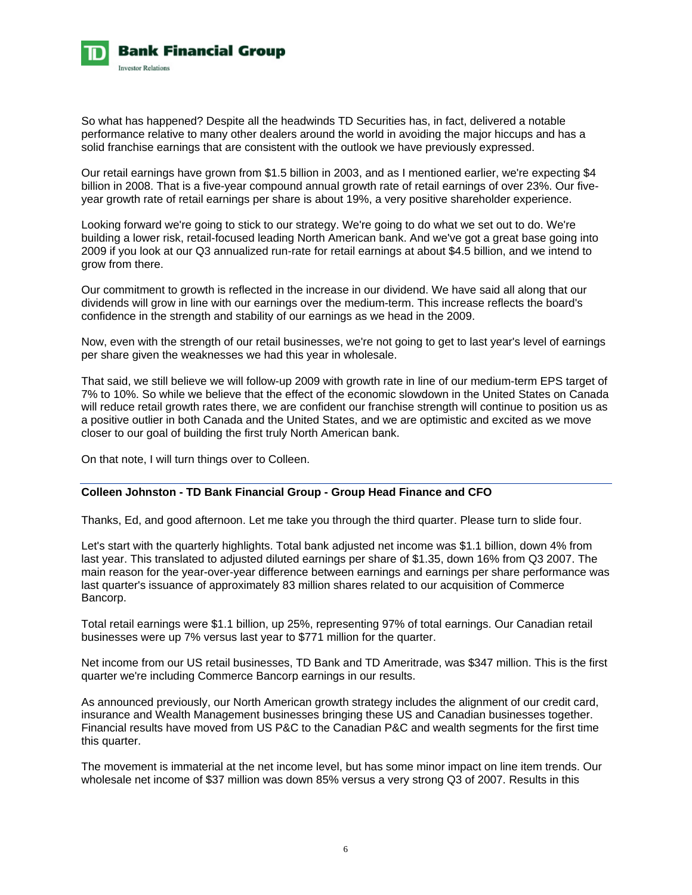

So what has happened? Despite all the headwinds TD Securities has, in fact, delivered a notable performance relative to many other dealers around the world in avoiding the major hiccups and has a solid franchise earnings that are consistent with the outlook we have previously expressed.

Our retail earnings have grown from \$1.5 billion in 2003, and as I mentioned earlier, we're expecting \$4 billion in 2008. That is a five-year compound annual growth rate of retail earnings of over 23%. Our fiveyear growth rate of retail earnings per share is about 19%, a very positive shareholder experience.

Looking forward we're going to stick to our strategy. We're going to do what we set out to do. We're building a lower risk, retail-focused leading North American bank. And we've got a great base going into 2009 if you look at our Q3 annualized run-rate for retail earnings at about \$4.5 billion, and we intend to grow from there.

Our commitment to growth is reflected in the increase in our dividend. We have said all along that our dividends will grow in line with our earnings over the medium-term. This increase reflects the board's confidence in the strength and stability of our earnings as we head in the 2009.

Now, even with the strength of our retail businesses, we're not going to get to last year's level of earnings per share given the weaknesses we had this year in wholesale.

That said, we still believe we will follow-up 2009 with growth rate in line of our medium-term EPS target of 7% to 10%. So while we believe that the effect of the economic slowdown in the United States on Canada will reduce retail growth rates there, we are confident our franchise strength will continue to position us as a positive outlier in both Canada and the United States, and we are optimistic and excited as we move closer to our goal of building the first truly North American bank.

On that note, I will turn things over to Colleen.

# **Colleen Johnston - TD Bank Financial Group - Group Head Finance and CFO**

Thanks, Ed, and good afternoon. Let me take you through the third quarter. Please turn to slide four.

Let's start with the quarterly highlights. Total bank adjusted net income was \$1.1 billion, down 4% from last year. This translated to adjusted diluted earnings per share of \$1.35, down 16% from Q3 2007. The main reason for the year-over-year difference between earnings and earnings per share performance was last quarter's issuance of approximately 83 million shares related to our acquisition of Commerce Bancorp.

Total retail earnings were \$1.1 billion, up 25%, representing 97% of total earnings. Our Canadian retail businesses were up 7% versus last year to \$771 million for the quarter.

Net income from our US retail businesses, TD Bank and TD Ameritrade, was \$347 million. This is the first quarter we're including Commerce Bancorp earnings in our results.

As announced previously, our North American growth strategy includes the alignment of our credit card, insurance and Wealth Management businesses bringing these US and Canadian businesses together. Financial results have moved from US P&C to the Canadian P&C and wealth segments for the first time this quarter.

The movement is immaterial at the net income level, but has some minor impact on line item trends. Our wholesale net income of \$37 million was down 85% versus a very strong Q3 of 2007. Results in this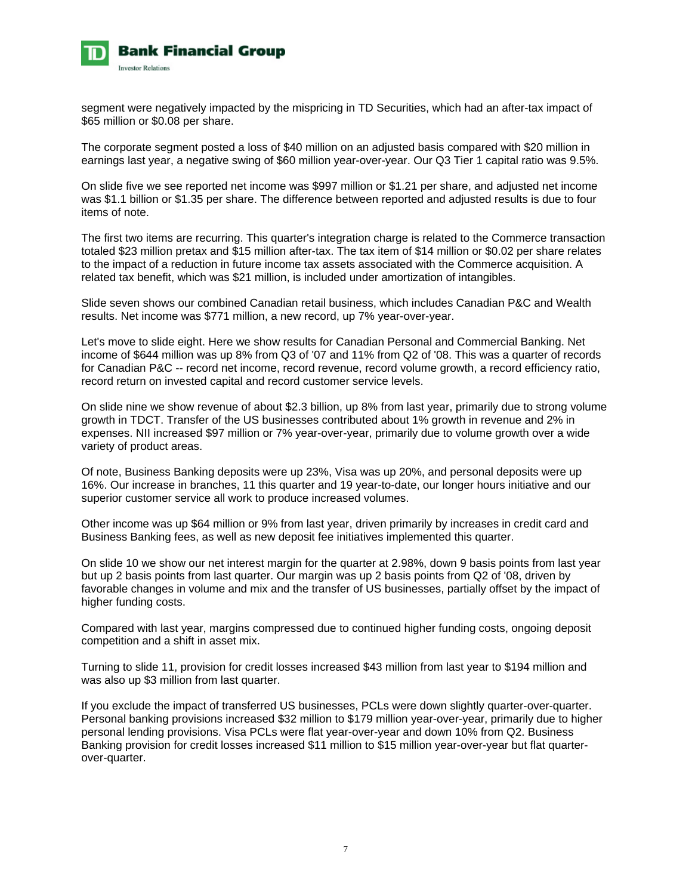

segment were negatively impacted by the mispricing in TD Securities, which had an after-tax impact of \$65 million or \$0.08 per share.

The corporate segment posted a loss of \$40 million on an adjusted basis compared with \$20 million in earnings last year, a negative swing of \$60 million year-over-year. Our Q3 Tier 1 capital ratio was 9.5%.

On slide five we see reported net income was \$997 million or \$1.21 per share, and adjusted net income was \$1.1 billion or \$1.35 per share. The difference between reported and adjusted results is due to four items of note.

The first two items are recurring. This quarter's integration charge is related to the Commerce transaction totaled \$23 million pretax and \$15 million after-tax. The tax item of \$14 million or \$0.02 per share relates to the impact of a reduction in future income tax assets associated with the Commerce acquisition. A related tax benefit, which was \$21 million, is included under amortization of intangibles.

Slide seven shows our combined Canadian retail business, which includes Canadian P&C and Wealth results. Net income was \$771 million, a new record, up 7% year-over-year.

Let's move to slide eight. Here we show results for Canadian Personal and Commercial Banking. Net income of \$644 million was up 8% from Q3 of '07 and 11% from Q2 of '08. This was a quarter of records for Canadian P&C -- record net income, record revenue, record volume growth, a record efficiency ratio, record return on invested capital and record customer service levels.

On slide nine we show revenue of about \$2.3 billion, up 8% from last year, primarily due to strong volume growth in TDCT. Transfer of the US businesses contributed about 1% growth in revenue and 2% in expenses. NII increased \$97 million or 7% year-over-year, primarily due to volume growth over a wide variety of product areas.

Of note, Business Banking deposits were up 23%, Visa was up 20%, and personal deposits were up 16%. Our increase in branches, 11 this quarter and 19 year-to-date, our longer hours initiative and our superior customer service all work to produce increased volumes.

Other income was up \$64 million or 9% from last year, driven primarily by increases in credit card and Business Banking fees, as well as new deposit fee initiatives implemented this quarter.

On slide 10 we show our net interest margin for the quarter at 2.98%, down 9 basis points from last year but up 2 basis points from last quarter. Our margin was up 2 basis points from Q2 of '08, driven by favorable changes in volume and mix and the transfer of US businesses, partially offset by the impact of higher funding costs.

Compared with last year, margins compressed due to continued higher funding costs, ongoing deposit competition and a shift in asset mix.

Turning to slide 11, provision for credit losses increased \$43 million from last year to \$194 million and was also up \$3 million from last quarter.

If you exclude the impact of transferred US businesses, PCLs were down slightly quarter-over-quarter. Personal banking provisions increased \$32 million to \$179 million year-over-year, primarily due to higher personal lending provisions. Visa PCLs were flat year-over-year and down 10% from Q2. Business Banking provision for credit losses increased \$11 million to \$15 million year-over-year but flat quarterover-quarter.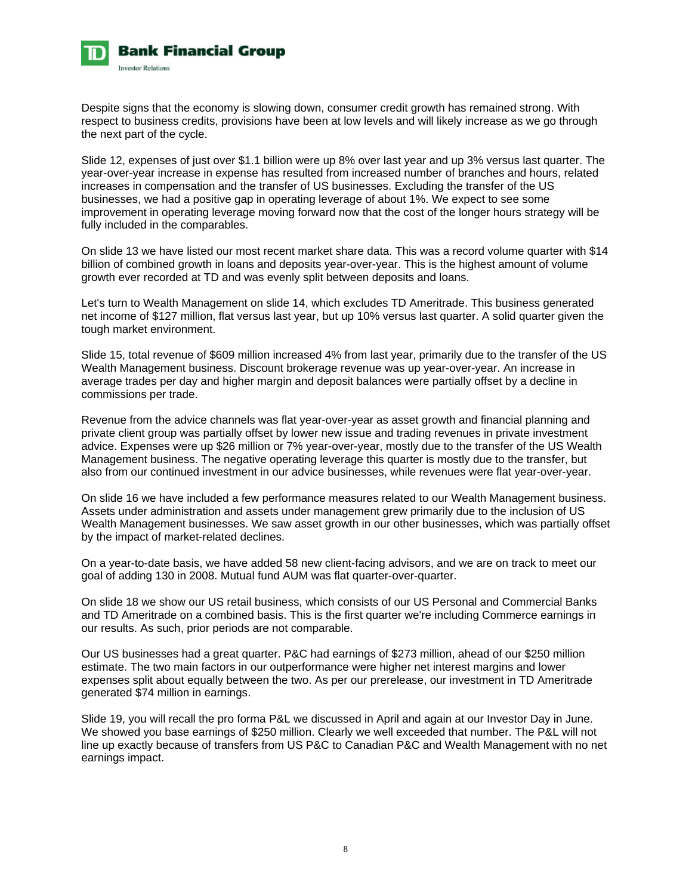

Despite signs that the economy is slowing down, consumer credit growth has remained strong. With respect to business credits, provisions have been at low levels and will likely increase as we go through the next part of the cycle.

Slide 12, expenses of just over \$1.1 billion were up 8% over last year and up 3% versus last quarter. The year-over-year increase in expense has resulted from increased number of branches and hours, related increases in compensation and the transfer of US businesses. Excluding the transfer of the US businesses, we had a positive gap in operating leverage of about 1%. We expect to see some improvement in operating leverage moving forward now that the cost of the longer hours strategy will be fully included in the comparables.

On slide 13 we have listed our most recent market share data. This was a record volume quarter with \$14 billion of combined growth in loans and deposits year-over-year. This is the highest amount of volume growth ever recorded at TD and was evenly split between deposits and loans.

Let's turn to Wealth Management on slide 14, which excludes TD Ameritrade. This business generated net income of \$127 million, flat versus last year, but up 10% versus last quarter. A solid quarter given the tough market environment.

Slide 15, total revenue of \$609 million increased 4% from last year, primarily due to the transfer of the US Wealth Management business. Discount brokerage revenue was up year-over-year. An increase in average trades per day and higher margin and deposit balances were partially offset by a decline in commissions per trade.

Revenue from the advice channels was flat year-over-year as asset growth and financial planning and private client group was partially offset by lower new issue and trading revenues in private investment advice. Expenses were up \$26 million or 7% year-over-year, mostly due to the transfer of the US Wealth Management business. The negative operating leverage this quarter is mostly due to the transfer, but also from our continued investment in our advice businesses, while revenues were flat year-over-year.

On slide 16 we have included a few performance measures related to our Wealth Management business. Assets under administration and assets under management grew primarily due to the inclusion of US Wealth Management businesses. We saw asset growth in our other businesses, which was partially offset by the impact of market-related declines.

On a year-to-date basis, we have added 58 new client-facing advisors, and we are on track to meet our goal of adding 130 in 2008. Mutual fund AUM was flat quarter-over-quarter.

On slide 18 we show our US retail business, which consists of our US Personal and Commercial Banks and TD Ameritrade on a combined basis. This is the first quarter we're including Commerce earnings in our results. As such, prior periods are not comparable.

Our US businesses had a great quarter. P&C had earnings of \$273 million, ahead of our \$250 million estimate. The two main factors in our outperformance were higher net interest margins and lower expenses split about equally between the two. As per our prerelease, our investment in TD Ameritrade generated \$74 million in earnings.

Slide 19, you will recall the pro forma P&L we discussed in April and again at our Investor Day in June. We showed you base earnings of \$250 million. Clearly we well exceeded that number. The P&L will not line up exactly because of transfers from US P&C to Canadian P&C and Wealth Management with no net earnings impact.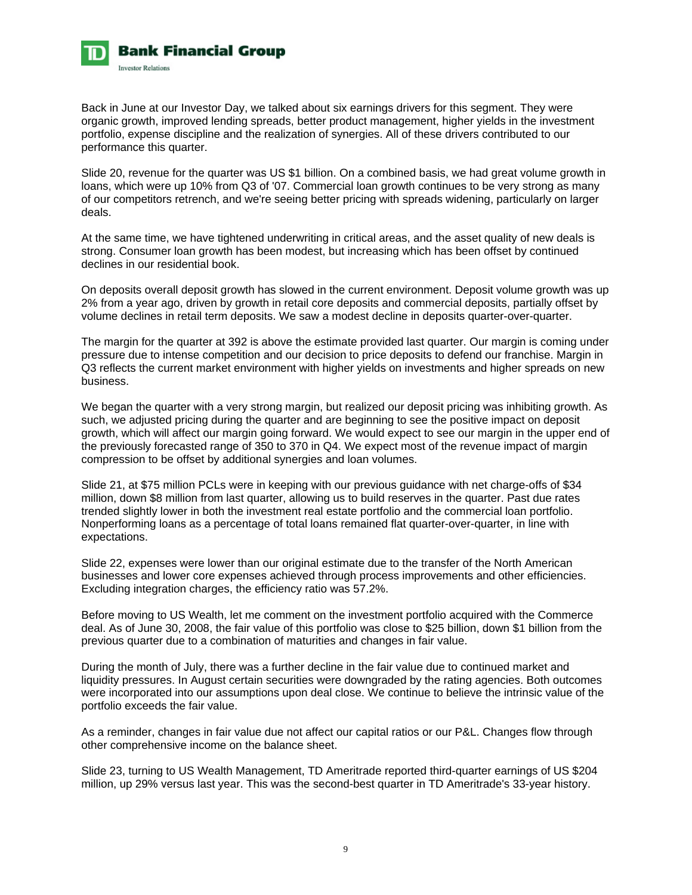

Back in June at our Investor Day, we talked about six earnings drivers for this segment. They were organic growth, improved lending spreads, better product management, higher yields in the investment portfolio, expense discipline and the realization of synergies. All of these drivers contributed to our performance this quarter.

Slide 20, revenue for the quarter was US \$1 billion. On a combined basis, we had great volume growth in loans, which were up 10% from Q3 of '07. Commercial loan growth continues to be very strong as many of our competitors retrench, and we're seeing better pricing with spreads widening, particularly on larger deals.

At the same time, we have tightened underwriting in critical areas, and the asset quality of new deals is strong. Consumer loan growth has been modest, but increasing which has been offset by continued declines in our residential book.

On deposits overall deposit growth has slowed in the current environment. Deposit volume growth was up 2% from a year ago, driven by growth in retail core deposits and commercial deposits, partially offset by volume declines in retail term deposits. We saw a modest decline in deposits quarter-over-quarter.

The margin for the quarter at 392 is above the estimate provided last quarter. Our margin is coming under pressure due to intense competition and our decision to price deposits to defend our franchise. Margin in Q3 reflects the current market environment with higher yields on investments and higher spreads on new business.

We began the quarter with a very strong margin, but realized our deposit pricing was inhibiting growth. As such, we adjusted pricing during the quarter and are beginning to see the positive impact on deposit growth, which will affect our margin going forward. We would expect to see our margin in the upper end of the previously forecasted range of 350 to 370 in Q4. We expect most of the revenue impact of margin compression to be offset by additional synergies and loan volumes.

Slide 21, at \$75 million PCLs were in keeping with our previous guidance with net charge-offs of \$34 million, down \$8 million from last quarter, allowing us to build reserves in the quarter. Past due rates trended slightly lower in both the investment real estate portfolio and the commercial loan portfolio. Nonperforming loans as a percentage of total loans remained flat quarter-over-quarter, in line with expectations.

Slide 22, expenses were lower than our original estimate due to the transfer of the North American businesses and lower core expenses achieved through process improvements and other efficiencies. Excluding integration charges, the efficiency ratio was 57.2%.

Before moving to US Wealth, let me comment on the investment portfolio acquired with the Commerce deal. As of June 30, 2008, the fair value of this portfolio was close to \$25 billion, down \$1 billion from the previous quarter due to a combination of maturities and changes in fair value.

During the month of July, there was a further decline in the fair value due to continued market and liquidity pressures. In August certain securities were downgraded by the rating agencies. Both outcomes were incorporated into our assumptions upon deal close. We continue to believe the intrinsic value of the portfolio exceeds the fair value.

As a reminder, changes in fair value due not affect our capital ratios or our P&L. Changes flow through other comprehensive income on the balance sheet.

Slide 23, turning to US Wealth Management, TD Ameritrade reported third-quarter earnings of US \$204 million, up 29% versus last year. This was the second-best quarter in TD Ameritrade's 33-year history.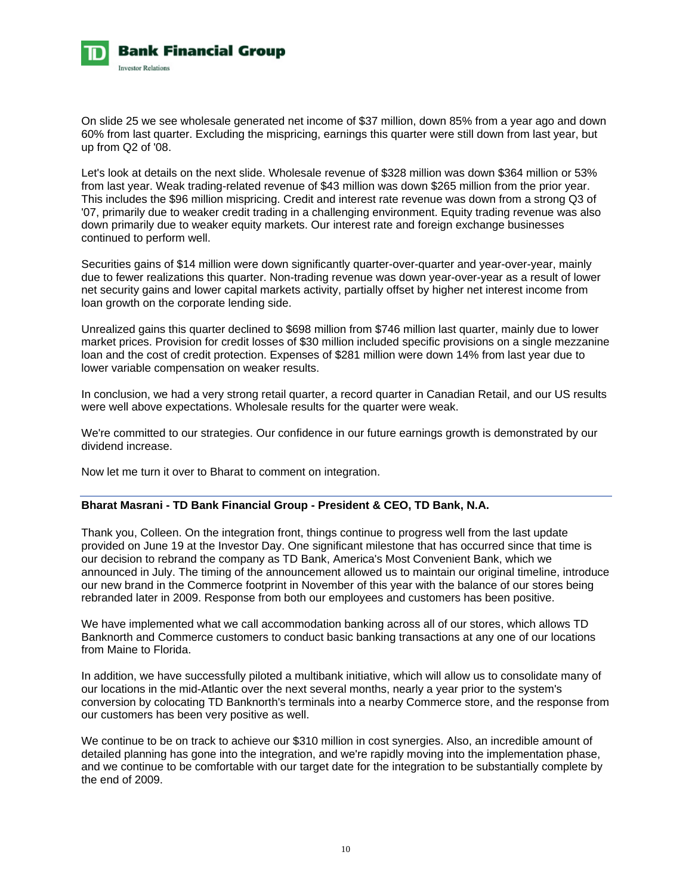

On slide 25 we see wholesale generated net income of \$37 million, down 85% from a year ago and down 60% from last quarter. Excluding the mispricing, earnings this quarter were still down from last year, but up from Q2 of '08.

Let's look at details on the next slide. Wholesale revenue of \$328 million was down \$364 million or 53% from last year. Weak trading-related revenue of \$43 million was down \$265 million from the prior year. This includes the \$96 million mispricing. Credit and interest rate revenue was down from a strong Q3 of '07, primarily due to weaker credit trading in a challenging environment. Equity trading revenue was also down primarily due to weaker equity markets. Our interest rate and foreign exchange businesses continued to perform well.

Securities gains of \$14 million were down significantly quarter-over-quarter and year-over-year, mainly due to fewer realizations this quarter. Non-trading revenue was down year-over-year as a result of lower net security gains and lower capital markets activity, partially offset by higher net interest income from loan growth on the corporate lending side.

Unrealized gains this quarter declined to \$698 million from \$746 million last quarter, mainly due to lower market prices. Provision for credit losses of \$30 million included specific provisions on a single mezzanine loan and the cost of credit protection. Expenses of \$281 million were down 14% from last year due to lower variable compensation on weaker results.

In conclusion, we had a very strong retail quarter, a record quarter in Canadian Retail, and our US results were well above expectations. Wholesale results for the quarter were weak.

We're committed to our strategies. Our confidence in our future earnings growth is demonstrated by our dividend increase.

Now let me turn it over to Bharat to comment on integration.

# **Bharat Masrani - TD Bank Financial Group - President & CEO, TD Bank, N.A.**

Thank you, Colleen. On the integration front, things continue to progress well from the last update provided on June 19 at the Investor Day. One significant milestone that has occurred since that time is our decision to rebrand the company as TD Bank, America's Most Convenient Bank, which we announced in July. The timing of the announcement allowed us to maintain our original timeline, introduce our new brand in the Commerce footprint in November of this year with the balance of our stores being rebranded later in 2009. Response from both our employees and customers has been positive.

We have implemented what we call accommodation banking across all of our stores, which allows TD Banknorth and Commerce customers to conduct basic banking transactions at any one of our locations from Maine to Florida.

In addition, we have successfully piloted a multibank initiative, which will allow us to consolidate many of our locations in the mid-Atlantic over the next several months, nearly a year prior to the system's conversion by colocating TD Banknorth's terminals into a nearby Commerce store, and the response from our customers has been very positive as well.

We continue to be on track to achieve our \$310 million in cost synergies. Also, an incredible amount of detailed planning has gone into the integration, and we're rapidly moving into the implementation phase, and we continue to be comfortable with our target date for the integration to be substantially complete by the end of 2009.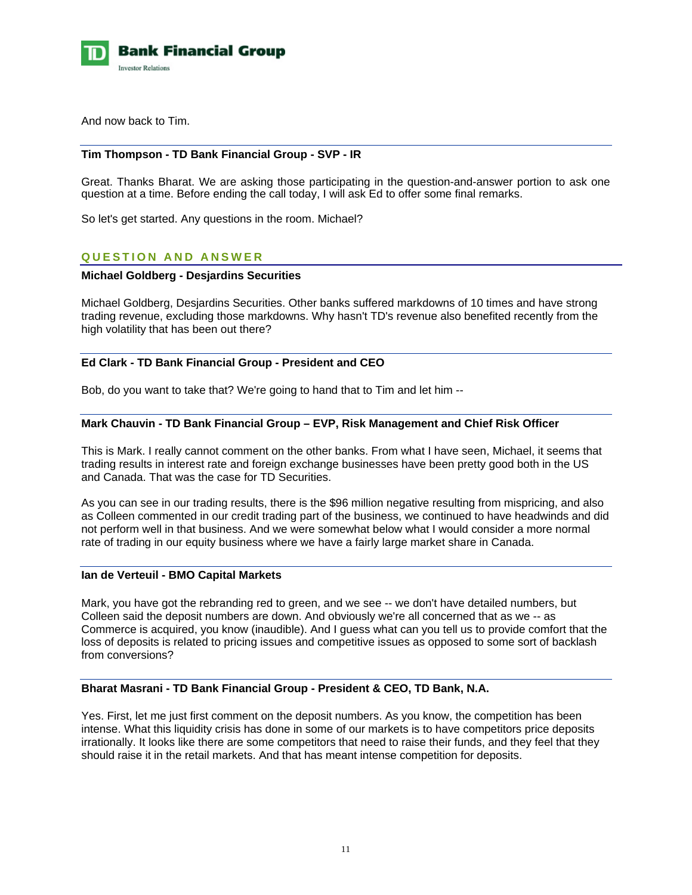

And now back to Tim.

### **Tim Thompson - TD Bank Financial Group - SVP - IR**

Great. Thanks Bharat. We are asking those participating in the question-and-answer portion to ask one question at a time. Before ending the call today, I will ask Ed to offer some final remarks.

So let's get started. Any questions in the room. Michael?

# **QUESTION AND ANSWER**

### **Michael Goldberg - Desjardins Securities**

Michael Goldberg, Desjardins Securities. Other banks suffered markdowns of 10 times and have strong trading revenue, excluding those markdowns. Why hasn't TD's revenue also benefited recently from the high volatility that has been out there?

# **Ed Clark - TD Bank Financial Group - President and CEO**

Bob, do you want to take that? We're going to hand that to Tim and let him --

# **Mark Chauvin - TD Bank Financial Group – EVP, Risk Management and Chief Risk Officer**

This is Mark. I really cannot comment on the other banks. From what I have seen, Michael, it seems that trading results in interest rate and foreign exchange businesses have been pretty good both in the US and Canada. That was the case for TD Securities.

As you can see in our trading results, there is the \$96 million negative resulting from mispricing, and also as Colleen commented in our credit trading part of the business, we continued to have headwinds and did not perform well in that business. And we were somewhat below what I would consider a more normal rate of trading in our equity business where we have a fairly large market share in Canada.

### **Ian de Verteuil - BMO Capital Markets**

Mark, you have got the rebranding red to green, and we see -- we don't have detailed numbers, but Colleen said the deposit numbers are down. And obviously we're all concerned that as we -- as Commerce is acquired, you know (inaudible). And I guess what can you tell us to provide comfort that the loss of deposits is related to pricing issues and competitive issues as opposed to some sort of backlash from conversions?

### **Bharat Masrani - TD Bank Financial Group - President & CEO, TD Bank, N.A.**

Yes. First, let me just first comment on the deposit numbers. As you know, the competition has been intense. What this liquidity crisis has done in some of our markets is to have competitors price deposits irrationally. It looks like there are some competitors that need to raise their funds, and they feel that they should raise it in the retail markets. And that has meant intense competition for deposits.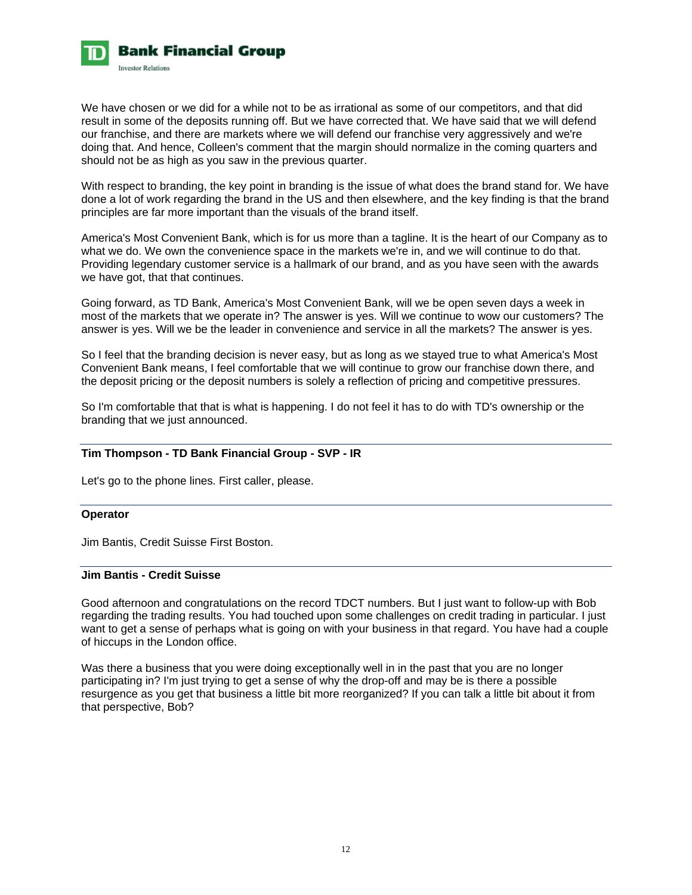

We have chosen or we did for a while not to be as irrational as some of our competitors, and that did result in some of the deposits running off. But we have corrected that. We have said that we will defend our franchise, and there are markets where we will defend our franchise very aggressively and we're doing that. And hence, Colleen's comment that the margin should normalize in the coming quarters and should not be as high as you saw in the previous quarter.

With respect to branding, the key point in branding is the issue of what does the brand stand for. We have done a lot of work regarding the brand in the US and then elsewhere, and the key finding is that the brand principles are far more important than the visuals of the brand itself.

America's Most Convenient Bank, which is for us more than a tagline. It is the heart of our Company as to what we do. We own the convenience space in the markets we're in, and we will continue to do that. Providing legendary customer service is a hallmark of our brand, and as you have seen with the awards we have got, that that continues.

Going forward, as TD Bank, America's Most Convenient Bank, will we be open seven days a week in most of the markets that we operate in? The answer is yes. Will we continue to wow our customers? The answer is yes. Will we be the leader in convenience and service in all the markets? The answer is yes.

So I feel that the branding decision is never easy, but as long as we stayed true to what America's Most Convenient Bank means, I feel comfortable that we will continue to grow our franchise down there, and the deposit pricing or the deposit numbers is solely a reflection of pricing and competitive pressures.

So I'm comfortable that that is what is happening. I do not feel it has to do with TD's ownership or the branding that we just announced.

# **Tim Thompson - TD Bank Financial Group - SVP - IR**

Let's go to the phone lines. First caller, please.

### **Operator**

Jim Bantis, Credit Suisse First Boston.

# **Jim Bantis - Credit Suisse**

Good afternoon and congratulations on the record TDCT numbers. But I just want to follow-up with Bob regarding the trading results. You had touched upon some challenges on credit trading in particular. I just want to get a sense of perhaps what is going on with your business in that regard. You have had a couple of hiccups in the London office.

Was there a business that you were doing exceptionally well in in the past that you are no longer participating in? I'm just trying to get a sense of why the drop-off and may be is there a possible resurgence as you get that business a little bit more reorganized? If you can talk a little bit about it from that perspective, Bob?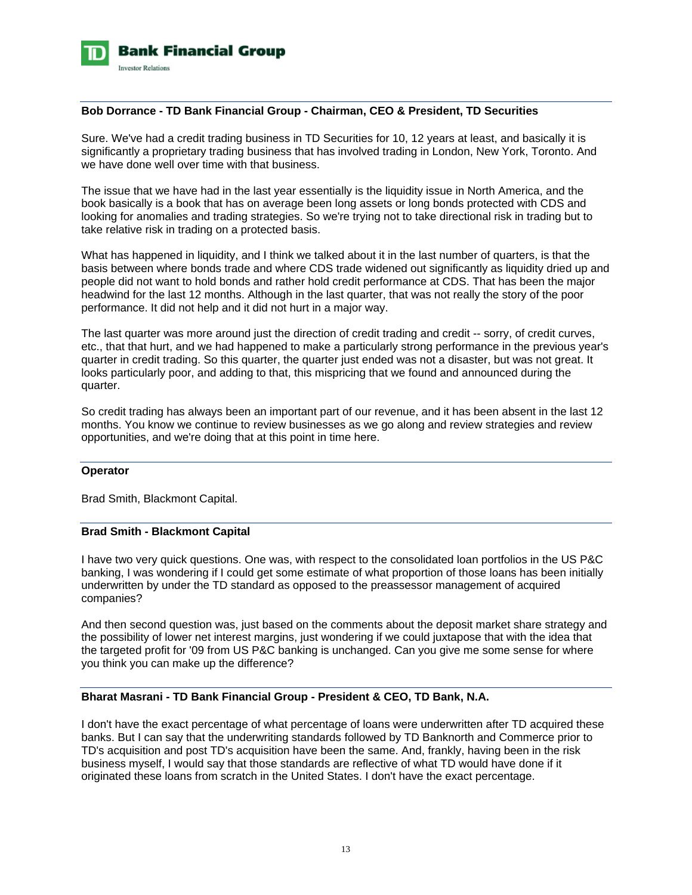

### **Bob Dorrance - TD Bank Financial Group - Chairman, CEO & President, TD Securities**

Sure. We've had a credit trading business in TD Securities for 10, 12 years at least, and basically it is significantly a proprietary trading business that has involved trading in London, New York, Toronto. And we have done well over time with that business.

The issue that we have had in the last year essentially is the liquidity issue in North America, and the book basically is a book that has on average been long assets or long bonds protected with CDS and looking for anomalies and trading strategies. So we're trying not to take directional risk in trading but to take relative risk in trading on a protected basis.

What has happened in liquidity, and I think we talked about it in the last number of quarters, is that the basis between where bonds trade and where CDS trade widened out significantly as liquidity dried up and people did not want to hold bonds and rather hold credit performance at CDS. That has been the major headwind for the last 12 months. Although in the last quarter, that was not really the story of the poor performance. It did not help and it did not hurt in a major way.

The last quarter was more around just the direction of credit trading and credit -- sorry, of credit curves, etc., that that hurt, and we had happened to make a particularly strong performance in the previous year's quarter in credit trading. So this quarter, the quarter just ended was not a disaster, but was not great. It looks particularly poor, and adding to that, this mispricing that we found and announced during the quarter.

So credit trading has always been an important part of our revenue, and it has been absent in the last 12 months. You know we continue to review businesses as we go along and review strategies and review opportunities, and we're doing that at this point in time here.

### **Operator**

Brad Smith, Blackmont Capital.

### **Brad Smith - Blackmont Capital**

I have two very quick questions. One was, with respect to the consolidated loan portfolios in the US P&C banking, I was wondering if I could get some estimate of what proportion of those loans has been initially underwritten by under the TD standard as opposed to the preassessor management of acquired companies?

And then second question was, just based on the comments about the deposit market share strategy and the possibility of lower net interest margins, just wondering if we could juxtapose that with the idea that the targeted profit for '09 from US P&C banking is unchanged. Can you give me some sense for where you think you can make up the difference?

# **Bharat Masrani - TD Bank Financial Group - President & CEO, TD Bank, N.A.**

I don't have the exact percentage of what percentage of loans were underwritten after TD acquired these banks. But I can say that the underwriting standards followed by TD Banknorth and Commerce prior to TD's acquisition and post TD's acquisition have been the same. And, frankly, having been in the risk business myself, I would say that those standards are reflective of what TD would have done if it originated these loans from scratch in the United States. I don't have the exact percentage.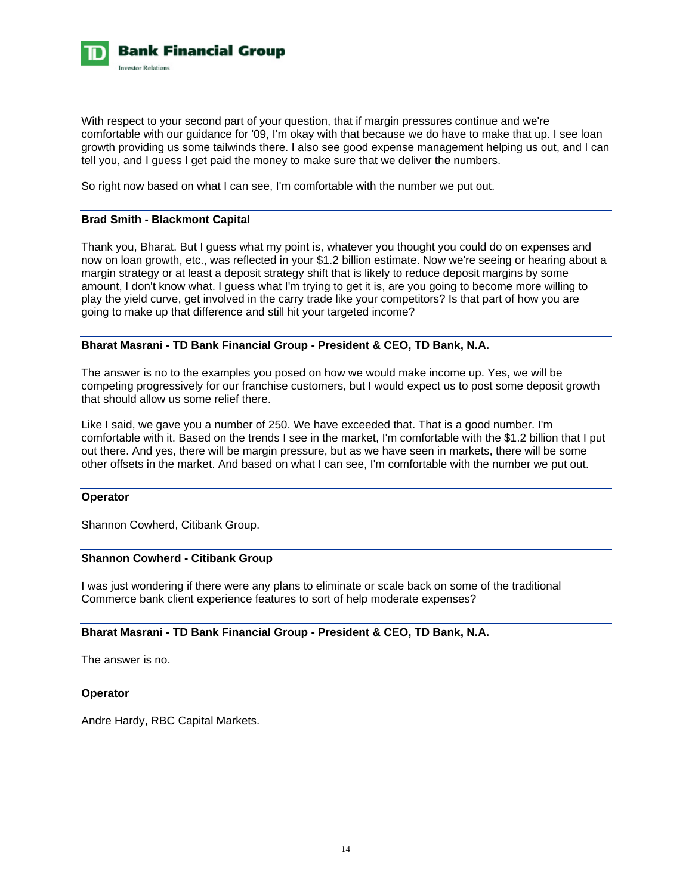

With respect to your second part of your question, that if margin pressures continue and we're comfortable with our guidance for '09, I'm okay with that because we do have to make that up. I see loan growth providing us some tailwinds there. I also see good expense management helping us out, and I can tell you, and I guess I get paid the money to make sure that we deliver the numbers.

So right now based on what I can see, I'm comfortable with the number we put out.

# **Brad Smith - Blackmont Capital**

Thank you, Bharat. But I guess what my point is, whatever you thought you could do on expenses and now on loan growth, etc., was reflected in your \$1.2 billion estimate. Now we're seeing or hearing about a margin strategy or at least a deposit strategy shift that is likely to reduce deposit margins by some amount, I don't know what. I guess what I'm trying to get it is, are you going to become more willing to play the yield curve, get involved in the carry trade like your competitors? Is that part of how you are going to make up that difference and still hit your targeted income?

# **Bharat Masrani - TD Bank Financial Group - President & CEO, TD Bank, N.A.**

The answer is no to the examples you posed on how we would make income up. Yes, we will be competing progressively for our franchise customers, but I would expect us to post some deposit growth that should allow us some relief there.

Like I said, we gave you a number of 250. We have exceeded that. That is a good number. I'm comfortable with it. Based on the trends I see in the market, I'm comfortable with the \$1.2 billion that I put out there. And yes, there will be margin pressure, but as we have seen in markets, there will be some other offsets in the market. And based on what I can see, I'm comfortable with the number we put out.

### **Operator**

Shannon Cowherd, Citibank Group.

## **Shannon Cowherd - Citibank Group**

I was just wondering if there were any plans to eliminate or scale back on some of the traditional Commerce bank client experience features to sort of help moderate expenses?

# **Bharat Masrani - TD Bank Financial Group - President & CEO, TD Bank, N.A.**

The answer is no.

### **Operator**

Andre Hardy, RBC Capital Markets.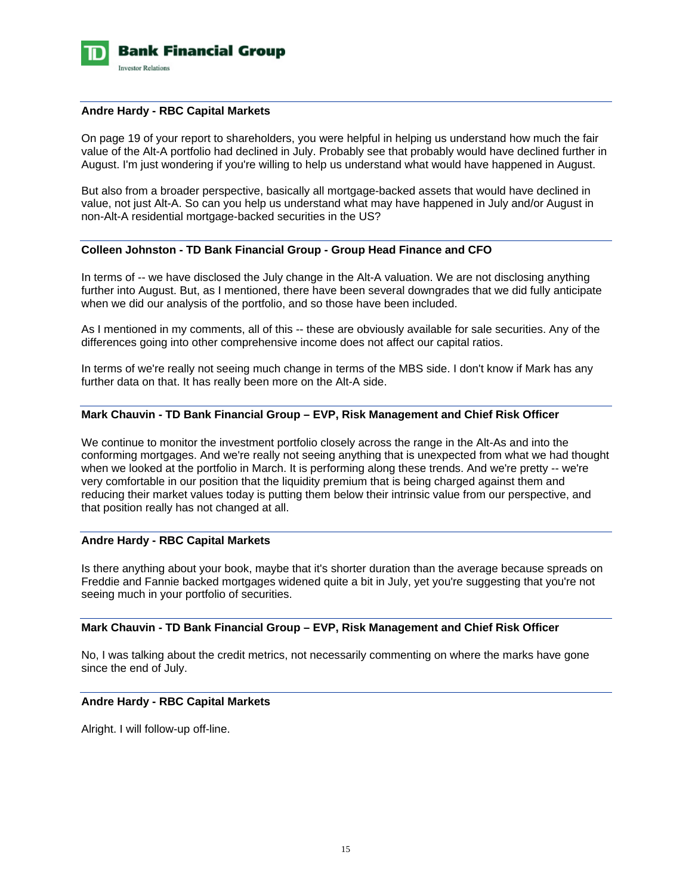

### **Andre Hardy - RBC Capital Markets**

On page 19 of your report to shareholders, you were helpful in helping us understand how much the fair value of the Alt-A portfolio had declined in July. Probably see that probably would have declined further in August. I'm just wondering if you're willing to help us understand what would have happened in August.

But also from a broader perspective, basically all mortgage-backed assets that would have declined in value, not just Alt-A. So can you help us understand what may have happened in July and/or August in non-Alt-A residential mortgage-backed securities in the US?

# **Colleen Johnston - TD Bank Financial Group - Group Head Finance and CFO**

In terms of -- we have disclosed the July change in the Alt-A valuation. We are not disclosing anything further into August. But, as I mentioned, there have been several downgrades that we did fully anticipate when we did our analysis of the portfolio, and so those have been included.

As I mentioned in my comments, all of this -- these are obviously available for sale securities. Any of the differences going into other comprehensive income does not affect our capital ratios.

In terms of we're really not seeing much change in terms of the MBS side. I don't know if Mark has any further data on that. It has really been more on the Alt-A side.

### **Mark Chauvin - TD Bank Financial Group – EVP, Risk Management and Chief Risk Officer**

We continue to monitor the investment portfolio closely across the range in the Alt-As and into the conforming mortgages. And we're really not seeing anything that is unexpected from what we had thought when we looked at the portfolio in March. It is performing along these trends. And we're pretty -- we're very comfortable in our position that the liquidity premium that is being charged against them and reducing their market values today is putting them below their intrinsic value from our perspective, and that position really has not changed at all.

# **Andre Hardy - RBC Capital Markets**

Is there anything about your book, maybe that it's shorter duration than the average because spreads on Freddie and Fannie backed mortgages widened quite a bit in July, yet you're suggesting that you're not seeing much in your portfolio of securities.

# **Mark Chauvin - TD Bank Financial Group – EVP, Risk Management and Chief Risk Officer**

No, I was talking about the credit metrics, not necessarily commenting on where the marks have gone since the end of July.

### **Andre Hardy - RBC Capital Markets**

Alright. I will follow-up off-line.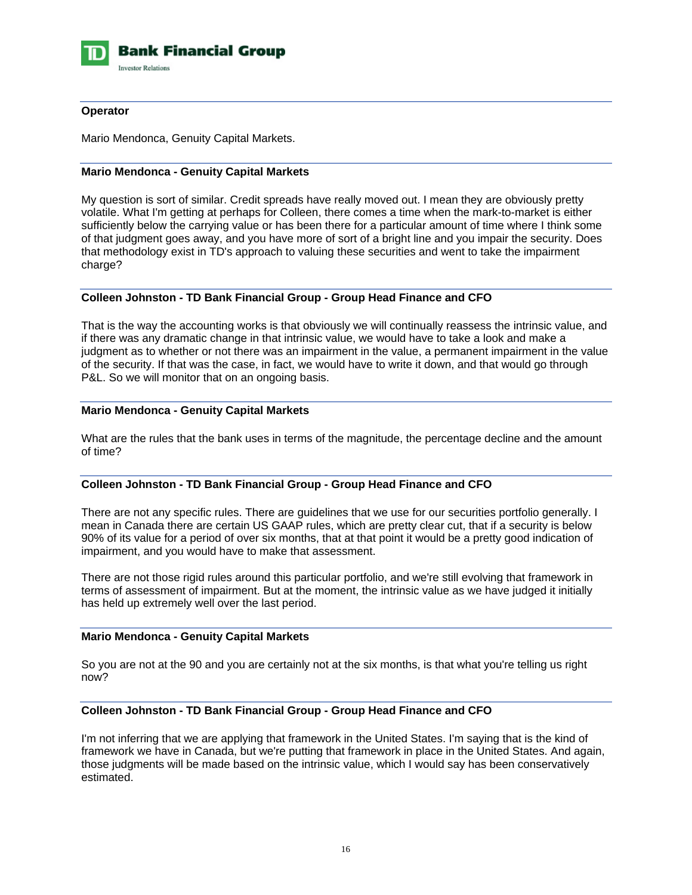

# **Operator**

Mario Mendonca, Genuity Capital Markets.

# **Mario Mendonca - Genuity Capital Markets**

My question is sort of similar. Credit spreads have really moved out. I mean they are obviously pretty volatile. What I'm getting at perhaps for Colleen, there comes a time when the mark-to-market is either sufficiently below the carrying value or has been there for a particular amount of time where I think some of that judgment goes away, and you have more of sort of a bright line and you impair the security. Does that methodology exist in TD's approach to valuing these securities and went to take the impairment charge?

# **Colleen Johnston - TD Bank Financial Group - Group Head Finance and CFO**

That is the way the accounting works is that obviously we will continually reassess the intrinsic value, and if there was any dramatic change in that intrinsic value, we would have to take a look and make a judgment as to whether or not there was an impairment in the value, a permanent impairment in the value of the security. If that was the case, in fact, we would have to write it down, and that would go through P&L. So we will monitor that on an ongoing basis.

# **Mario Mendonca - Genuity Capital Markets**

What are the rules that the bank uses in terms of the magnitude, the percentage decline and the amount of time?

# **Colleen Johnston - TD Bank Financial Group - Group Head Finance and CFO**

There are not any specific rules. There are guidelines that we use for our securities portfolio generally. I mean in Canada there are certain US GAAP rules, which are pretty clear cut, that if a security is below 90% of its value for a period of over six months, that at that point it would be a pretty good indication of impairment, and you would have to make that assessment.

There are not those rigid rules around this particular portfolio, and we're still evolving that framework in terms of assessment of impairment. But at the moment, the intrinsic value as we have judged it initially has held up extremely well over the last period.

### **Mario Mendonca - Genuity Capital Markets**

So you are not at the 90 and you are certainly not at the six months, is that what you're telling us right now?

### **Colleen Johnston - TD Bank Financial Group - Group Head Finance and CFO**

I'm not inferring that we are applying that framework in the United States. I'm saying that is the kind of framework we have in Canada, but we're putting that framework in place in the United States. And again, those judgments will be made based on the intrinsic value, which I would say has been conservatively estimated.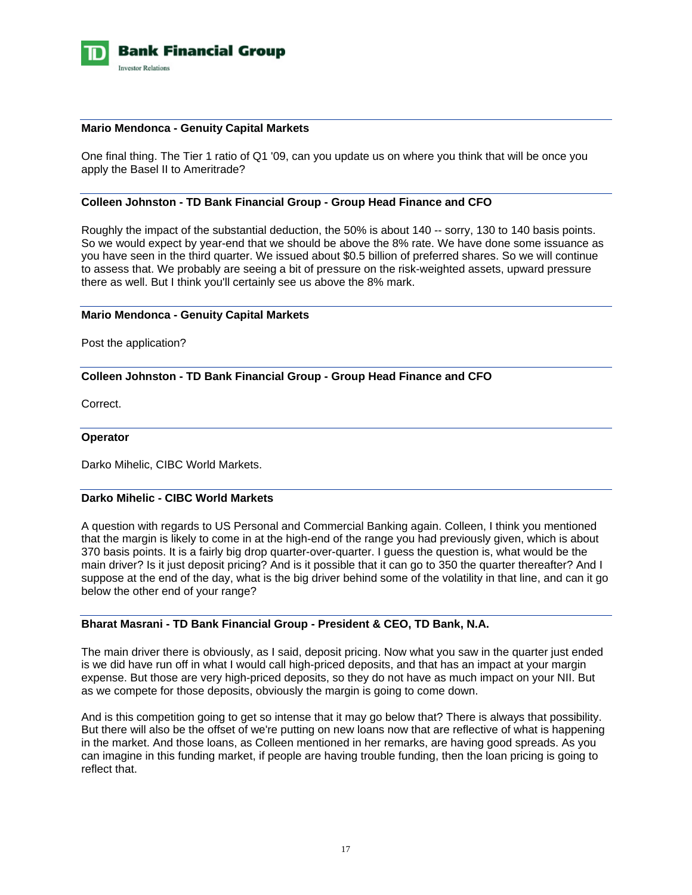

### **Mario Mendonca - Genuity Capital Markets**

One final thing. The Tier 1 ratio of Q1 '09, can you update us on where you think that will be once you apply the Basel II to Ameritrade?

### **Colleen Johnston - TD Bank Financial Group - Group Head Finance and CFO**

Roughly the impact of the substantial deduction, the 50% is about 140 -- sorry, 130 to 140 basis points. So we would expect by year-end that we should be above the 8% rate. We have done some issuance as you have seen in the third quarter. We issued about \$0.5 billion of preferred shares. So we will continue to assess that. We probably are seeing a bit of pressure on the risk-weighted assets, upward pressure there as well. But I think you'll certainly see us above the 8% mark.

### **Mario Mendonca - Genuity Capital Markets**

Post the application?

# **Colleen Johnston - TD Bank Financial Group - Group Head Finance and CFO**

Correct.

### **Operator**

Darko Mihelic, CIBC World Markets.

# **Darko Mihelic - CIBC World Markets**

A question with regards to US Personal and Commercial Banking again. Colleen, I think you mentioned that the margin is likely to come in at the high-end of the range you had previously given, which is about 370 basis points. It is a fairly big drop quarter-over-quarter. I guess the question is, what would be the main driver? Is it just deposit pricing? And is it possible that it can go to 350 the quarter thereafter? And I suppose at the end of the day, what is the big driver behind some of the volatility in that line, and can it go below the other end of your range?

# **Bharat Masrani - TD Bank Financial Group - President & CEO, TD Bank, N.A.**

The main driver there is obviously, as I said, deposit pricing. Now what you saw in the quarter just ended is we did have run off in what I would call high-priced deposits, and that has an impact at your margin expense. But those are very high-priced deposits, so they do not have as much impact on your NII. But as we compete for those deposits, obviously the margin is going to come down.

And is this competition going to get so intense that it may go below that? There is always that possibility. But there will also be the offset of we're putting on new loans now that are reflective of what is happening in the market. And those loans, as Colleen mentioned in her remarks, are having good spreads. As you can imagine in this funding market, if people are having trouble funding, then the loan pricing is going to reflect that.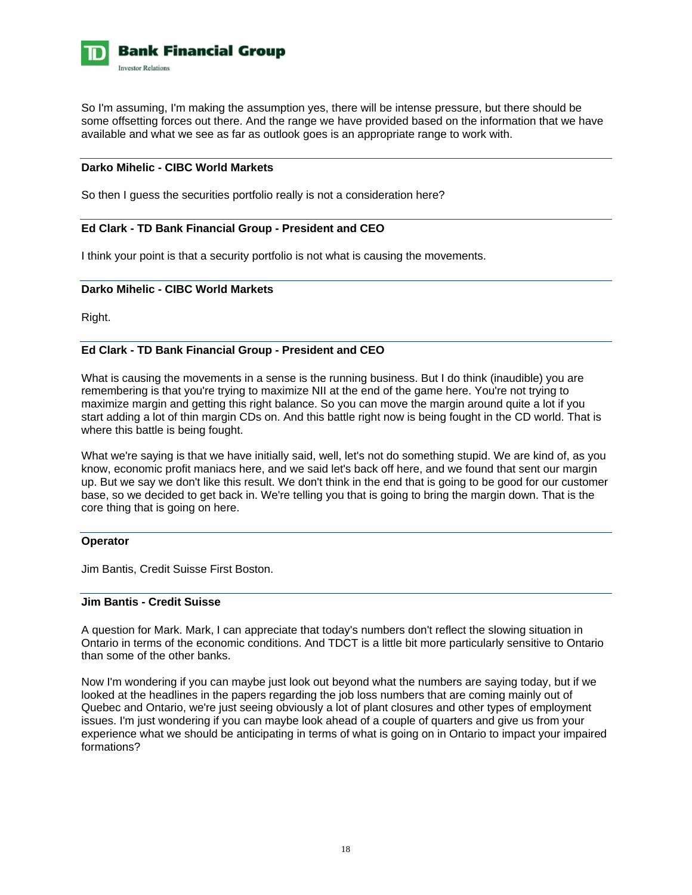

So I'm assuming, I'm making the assumption yes, there will be intense pressure, but there should be some offsetting forces out there. And the range we have provided based on the information that we have available and what we see as far as outlook goes is an appropriate range to work with.

# **Darko Mihelic - CIBC World Markets**

So then I guess the securities portfolio really is not a consideration here?

### **Ed Clark - TD Bank Financial Group - President and CEO**

I think your point is that a security portfolio is not what is causing the movements.

### **Darko Mihelic - CIBC World Markets**

Right.

# **Ed Clark - TD Bank Financial Group - President and CEO**

What is causing the movements in a sense is the running business. But I do think (inaudible) you are remembering is that you're trying to maximize NII at the end of the game here. You're not trying to maximize margin and getting this right balance. So you can move the margin around quite a lot if you start adding a lot of thin margin CDs on. And this battle right now is being fought in the CD world. That is where this battle is being fought.

What we're saying is that we have initially said, well, let's not do something stupid. We are kind of, as you know, economic profit maniacs here, and we said let's back off here, and we found that sent our margin up. But we say we don't like this result. We don't think in the end that is going to be good for our customer base, so we decided to get back in. We're telling you that is going to bring the margin down. That is the core thing that is going on here.

### **Operator**

Jim Bantis, Credit Suisse First Boston.

### **Jim Bantis - Credit Suisse**

A question for Mark. Mark, I can appreciate that today's numbers don't reflect the slowing situation in Ontario in terms of the economic conditions. And TDCT is a little bit more particularly sensitive to Ontario than some of the other banks.

Now I'm wondering if you can maybe just look out beyond what the numbers are saying today, but if we looked at the headlines in the papers regarding the job loss numbers that are coming mainly out of Quebec and Ontario, we're just seeing obviously a lot of plant closures and other types of employment issues. I'm just wondering if you can maybe look ahead of a couple of quarters and give us from your experience what we should be anticipating in terms of what is going on in Ontario to impact your impaired formations?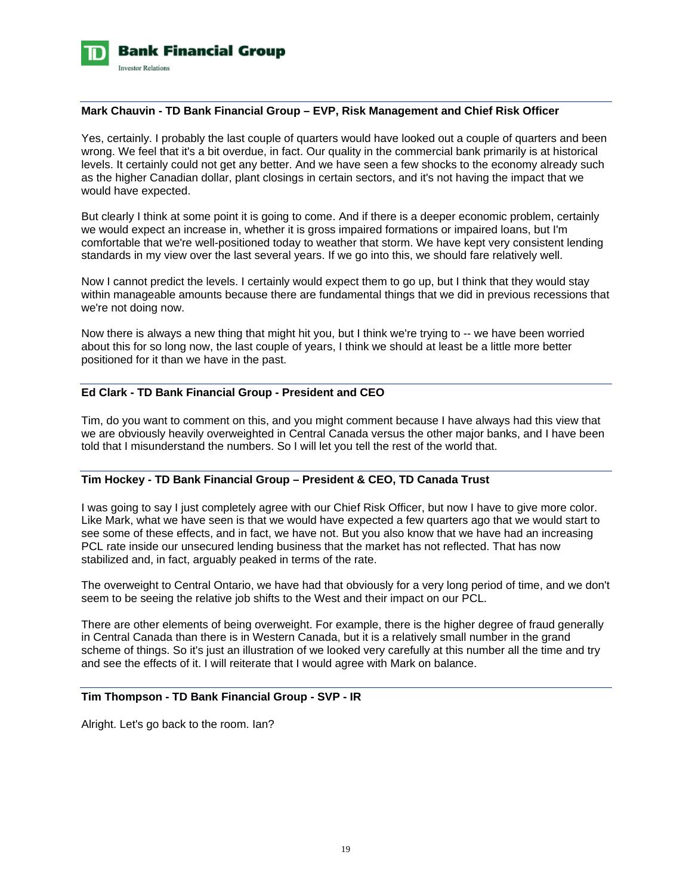

### **Mark Chauvin - TD Bank Financial Group – EVP, Risk Management and Chief Risk Officer**

Yes, certainly. I probably the last couple of quarters would have looked out a couple of quarters and been wrong. We feel that it's a bit overdue, in fact. Our quality in the commercial bank primarily is at historical levels. It certainly could not get any better. And we have seen a few shocks to the economy already such as the higher Canadian dollar, plant closings in certain sectors, and it's not having the impact that we would have expected.

But clearly I think at some point it is going to come. And if there is a deeper economic problem, certainly we would expect an increase in, whether it is gross impaired formations or impaired loans, but I'm comfortable that we're well-positioned today to weather that storm. We have kept very consistent lending standards in my view over the last several years. If we go into this, we should fare relatively well.

Now I cannot predict the levels. I certainly would expect them to go up, but I think that they would stay within manageable amounts because there are fundamental things that we did in previous recessions that we're not doing now.

Now there is always a new thing that might hit you, but I think we're trying to -- we have been worried about this for so long now, the last couple of years, I think we should at least be a little more better positioned for it than we have in the past.

### **Ed Clark - TD Bank Financial Group - President and CEO**

Tim, do you want to comment on this, and you might comment because I have always had this view that we are obviously heavily overweighted in Central Canada versus the other major banks, and I have been told that I misunderstand the numbers. So I will let you tell the rest of the world that.

# **Tim Hockey - TD Bank Financial Group – President & CEO, TD Canada Trust**

I was going to say I just completely agree with our Chief Risk Officer, but now I have to give more color. Like Mark, what we have seen is that we would have expected a few quarters ago that we would start to see some of these effects, and in fact, we have not. But you also know that we have had an increasing PCL rate inside our unsecured lending business that the market has not reflected. That has now stabilized and, in fact, arguably peaked in terms of the rate.

The overweight to Central Ontario, we have had that obviously for a very long period of time, and we don't seem to be seeing the relative job shifts to the West and their impact on our PCL.

There are other elements of being overweight. For example, there is the higher degree of fraud generally in Central Canada than there is in Western Canada, but it is a relatively small number in the grand scheme of things. So it's just an illustration of we looked very carefully at this number all the time and try and see the effects of it. I will reiterate that I would agree with Mark on balance.

# **Tim Thompson - TD Bank Financial Group - SVP - IR**

Alright. Let's go back to the room. Ian?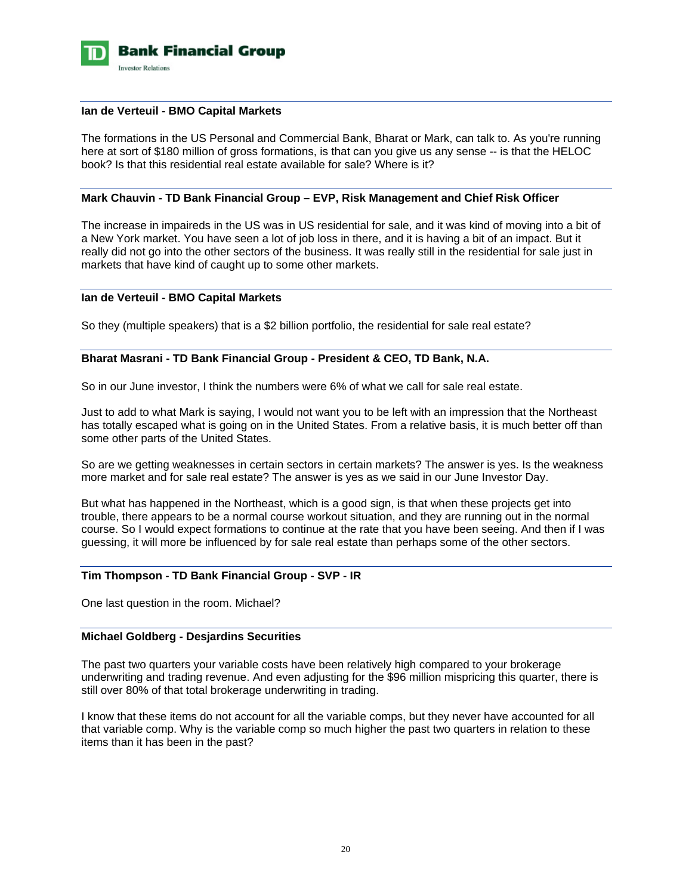

### **Ian de Verteuil - BMO Capital Markets**

The formations in the US Personal and Commercial Bank, Bharat or Mark, can talk to. As you're running here at sort of \$180 million of gross formations, is that can you give us any sense -- is that the HELOC book? Is that this residential real estate available for sale? Where is it?

### **Mark Chauvin - TD Bank Financial Group – EVP, Risk Management and Chief Risk Officer**

The increase in impaireds in the US was in US residential for sale, and it was kind of moving into a bit of a New York market. You have seen a lot of job loss in there, and it is having a bit of an impact. But it really did not go into the other sectors of the business. It was really still in the residential for sale just in markets that have kind of caught up to some other markets.

# **Ian de Verteuil - BMO Capital Markets**

So they (multiple speakers) that is a \$2 billion portfolio, the residential for sale real estate?

### **Bharat Masrani - TD Bank Financial Group - President & CEO, TD Bank, N.A.**

So in our June investor, I think the numbers were 6% of what we call for sale real estate.

Just to add to what Mark is saying, I would not want you to be left with an impression that the Northeast has totally escaped what is going on in the United States. From a relative basis, it is much better off than some other parts of the United States.

So are we getting weaknesses in certain sectors in certain markets? The answer is yes. Is the weakness more market and for sale real estate? The answer is yes as we said in our June Investor Day.

But what has happened in the Northeast, which is a good sign, is that when these projects get into trouble, there appears to be a normal course workout situation, and they are running out in the normal course. So I would expect formations to continue at the rate that you have been seeing. And then if I was guessing, it will more be influenced by for sale real estate than perhaps some of the other sectors.

# **Tim Thompson - TD Bank Financial Group - SVP - IR**

One last question in the room. Michael?

# **Michael Goldberg - Desjardins Securities**

The past two quarters your variable costs have been relatively high compared to your brokerage underwriting and trading revenue. And even adjusting for the \$96 million mispricing this quarter, there is still over 80% of that total brokerage underwriting in trading.

I know that these items do not account for all the variable comps, but they never have accounted for all that variable comp. Why is the variable comp so much higher the past two quarters in relation to these items than it has been in the past?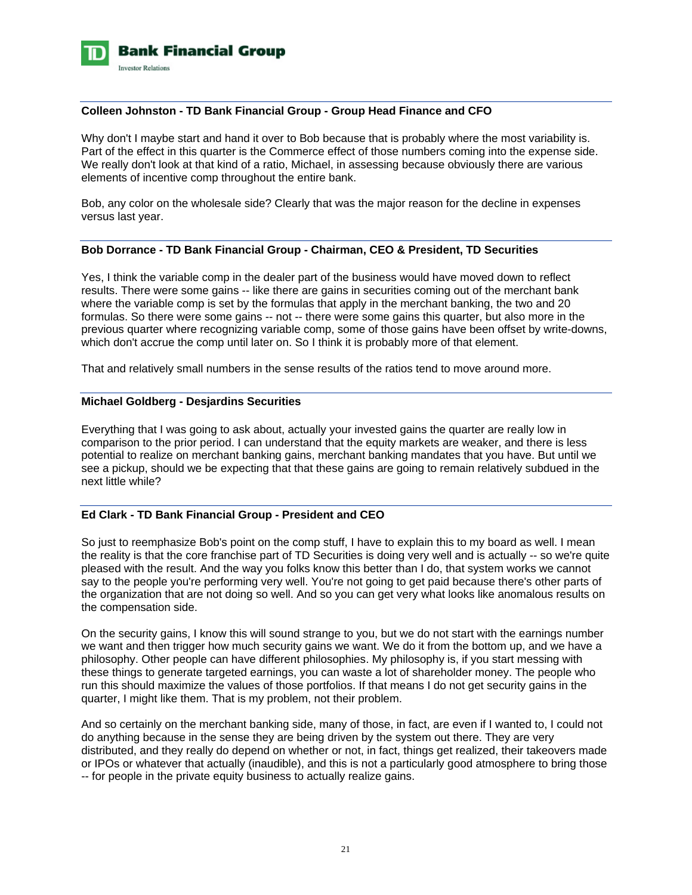

## **Colleen Johnston - TD Bank Financial Group - Group Head Finance and CFO**

Why don't I maybe start and hand it over to Bob because that is probably where the most variability is. Part of the effect in this quarter is the Commerce effect of those numbers coming into the expense side. We really don't look at that kind of a ratio, Michael, in assessing because obviously there are various elements of incentive comp throughout the entire bank.

Bob, any color on the wholesale side? Clearly that was the major reason for the decline in expenses versus last year.

# **Bob Dorrance - TD Bank Financial Group - Chairman, CEO & President, TD Securities**

Yes, I think the variable comp in the dealer part of the business would have moved down to reflect results. There were some gains -- like there are gains in securities coming out of the merchant bank where the variable comp is set by the formulas that apply in the merchant banking, the two and 20 formulas. So there were some gains -- not -- there were some gains this quarter, but also more in the previous quarter where recognizing variable comp, some of those gains have been offset by write-downs, which don't accrue the comp until later on. So I think it is probably more of that element.

That and relatively small numbers in the sense results of the ratios tend to move around more.

### **Michael Goldberg - Desjardins Securities**

Everything that I was going to ask about, actually your invested gains the quarter are really low in comparison to the prior period. I can understand that the equity markets are weaker, and there is less potential to realize on merchant banking gains, merchant banking mandates that you have. But until we see a pickup, should we be expecting that that these gains are going to remain relatively subdued in the next little while?

### **Ed Clark - TD Bank Financial Group - President and CEO**

So just to reemphasize Bob's point on the comp stuff, I have to explain this to my board as well. I mean the reality is that the core franchise part of TD Securities is doing very well and is actually -- so we're quite pleased with the result. And the way you folks know this better than I do, that system works we cannot say to the people you're performing very well. You're not going to get paid because there's other parts of the organization that are not doing so well. And so you can get very what looks like anomalous results on the compensation side.

On the security gains, I know this will sound strange to you, but we do not start with the earnings number we want and then trigger how much security gains we want. We do it from the bottom up, and we have a philosophy. Other people can have different philosophies. My philosophy is, if you start messing with these things to generate targeted earnings, you can waste a lot of shareholder money. The people who run this should maximize the values of those portfolios. If that means I do not get security gains in the quarter, I might like them. That is my problem, not their problem.

And so certainly on the merchant banking side, many of those, in fact, are even if I wanted to, I could not do anything because in the sense they are being driven by the system out there. They are very distributed, and they really do depend on whether or not, in fact, things get realized, their takeovers made or IPOs or whatever that actually (inaudible), and this is not a particularly good atmosphere to bring those -- for people in the private equity business to actually realize gains.